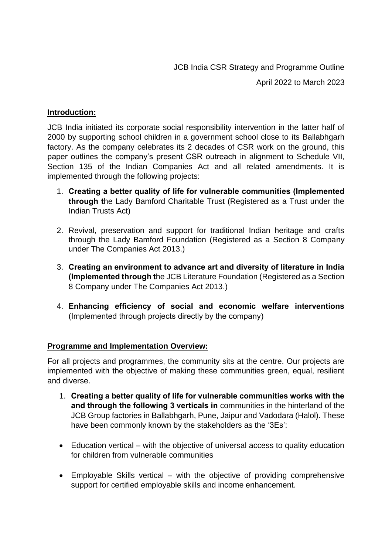JCB India CSR Strategy and Programme Outline

April 2022 to March 2023

#### **Introduction:**

JCB India initiated its corporate social responsibility intervention in the latter half of 2000 by supporting school children in a government school close to its Ballabhgarh factory. As the company celebrates its 2 decades of CSR work on the ground, this paper outlines the company's present CSR outreach in alignment to Schedule VII, Section 135 of the Indian Companies Act and all related amendments. It is implemented through the following projects:

- 1. **Creating a better quality of life for vulnerable communities (Implemented through t**he Lady Bamford Charitable Trust (Registered as a Trust under the Indian Trusts Act)
- 2. Revival, preservation and support for traditional Indian heritage and crafts through the Lady Bamford Foundation (Registered as a Section 8 Company under The Companies Act 2013.)
- 3. **Creating an environment to advance art and diversity of literature in India (Implemented through t**he JCB Literature Foundation (Registered as a Section 8 Company under The Companies Act 2013.)
- 4. **Enhancing efficiency of social and economic welfare interventions**  (Implemented through projects directly by the company)

# **Programme and Implementation Overview:**

For all projects and programmes, the community sits at the centre. Our projects are implemented with the objective of making these communities green, equal, resilient and diverse.

- 1. **Creating a better quality of life for vulnerable communities works with the and through the following 3 verticals in** communities in the hinterland of the JCB Group factories in Ballabhgarh, Pune, Jaipur and Vadodara (Halol). These have been commonly known by the stakeholders as the '3Es':
- Education vertical with the objective of universal access to quality education for children from vulnerable communities
- Employable Skills vertical with the objective of providing comprehensive support for certified employable skills and income enhancement.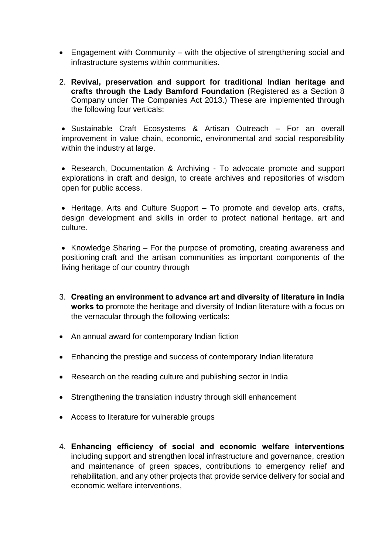- Engagement with Community with the objective of strengthening social and infrastructure systems within communities.
- 2. **Revival, preservation and support for traditional Indian heritage and crafts through the Lady Bamford Foundation** (Registered as a Section 8 Company under The Companies Act 2013.) These are implemented through the following four verticals:

• Sustainable Craft Ecosystems & Artisan Outreach – For an overall improvement in value chain, economic, environmental and social responsibility within the industry at large.

• Research, Documentation & Archiving - To advocate promote and support explorations in craft and design, to create archives and repositories of wisdom open for public access.

• Heritage, Arts and Culture Support – To promote and develop arts, crafts, design development and skills in order to protect national heritage, art and culture.

• Knowledge Sharing – For the purpose of promoting, creating awareness and positioning craft and the artisan communities as important components of the living heritage of our country through

- 3. **Creating an environment to advance art and diversity of literature in India works to** promote the heritage and diversity of Indian literature with a focus on the vernacular through the following verticals:
- An annual award for contemporary Indian fiction
- Enhancing the prestige and success of contemporary Indian literature
- Research on the reading culture and publishing sector in India
- Strengthening the translation industry through skill enhancement
- Access to literature for vulnerable groups
- 4. **Enhancing efficiency of social and economic welfare interventions** including support and strengthen local infrastructure and governance, creation and maintenance of green spaces, contributions to emergency relief and rehabilitation, and any other projects that provide service delivery for social and economic welfare interventions,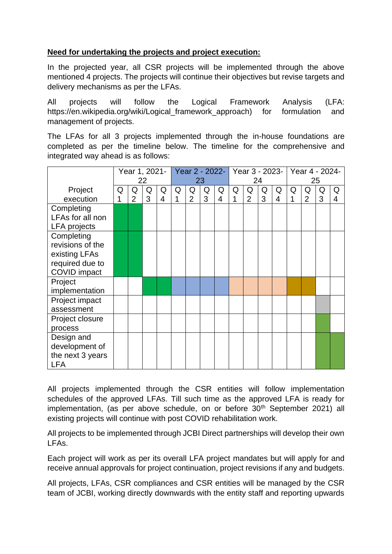# **Need for undertaking the projects and project execution:**

In the projected year, all CSR projects will be implemented through the above mentioned 4 projects. The projects will continue their objectives but revise targets and delivery mechanisms as per the LFAs.

All projects will follow the Logical Framework Analysis (LFA: https://en.wikipedia.org/wiki/Logical framework approach) for formulation and management of projects.

The LFAs for all 3 projects implemented through the in-house foundations are completed as per the timeline below. The timeline for the comprehensive and integrated way ahead is as follows:

|                     | Year 1, 2021-<br>22 |                |   | Year 2 - 2022-<br>23 |   |                |   | Year 3 - 2023-   Year 4 - 2024-<br>24 |   |                | 25 |   |   |                |   |   |
|---------------------|---------------------|----------------|---|----------------------|---|----------------|---|---------------------------------------|---|----------------|----|---|---|----------------|---|---|
|                     |                     |                |   |                      |   |                |   |                                       |   |                |    |   |   |                |   |   |
| Project             | Q                   | Q              | Q | Q                    | Q | Q              | Q | Q                                     | Q | Q              | Q  | Q | Q | Q              | Q | Q |
| execution           | 1                   | $\overline{2}$ | 3 | 4                    | 1 | $\overline{2}$ | 3 | $\overline{4}$                        | 1 | $\overline{2}$ | 3  | 4 | 1 | $\overline{2}$ | 3 | 4 |
| Completing          |                     |                |   |                      |   |                |   |                                       |   |                |    |   |   |                |   |   |
| LFAs for all non    |                     |                |   |                      |   |                |   |                                       |   |                |    |   |   |                |   |   |
| <b>LFA</b> projects |                     |                |   |                      |   |                |   |                                       |   |                |    |   |   |                |   |   |
| Completing          |                     |                |   |                      |   |                |   |                                       |   |                |    |   |   |                |   |   |
| revisions of the    |                     |                |   |                      |   |                |   |                                       |   |                |    |   |   |                |   |   |
| existing LFAs       |                     |                |   |                      |   |                |   |                                       |   |                |    |   |   |                |   |   |
| required due to     |                     |                |   |                      |   |                |   |                                       |   |                |    |   |   |                |   |   |
| <b>COVID</b> impact |                     |                |   |                      |   |                |   |                                       |   |                |    |   |   |                |   |   |
| Project             |                     |                |   |                      |   |                |   |                                       |   |                |    |   |   |                |   |   |
| implementation      |                     |                |   |                      |   |                |   |                                       |   |                |    |   |   |                |   |   |
| Project impact      |                     |                |   |                      |   |                |   |                                       |   |                |    |   |   |                |   |   |
| assessment          |                     |                |   |                      |   |                |   |                                       |   |                |    |   |   |                |   |   |
| Project closure     |                     |                |   |                      |   |                |   |                                       |   |                |    |   |   |                |   |   |
| process             |                     |                |   |                      |   |                |   |                                       |   |                |    |   |   |                |   |   |
| Design and          |                     |                |   |                      |   |                |   |                                       |   |                |    |   |   |                |   |   |
| development of      |                     |                |   |                      |   |                |   |                                       |   |                |    |   |   |                |   |   |
| the next 3 years    |                     |                |   |                      |   |                |   |                                       |   |                |    |   |   |                |   |   |
| <b>LFA</b>          |                     |                |   |                      |   |                |   |                                       |   |                |    |   |   |                |   |   |

All projects implemented through the CSR entities will follow implementation schedules of the approved LFAs. Till such time as the approved LFA is ready for implementation, (as per above schedule, on or before 30<sup>th</sup> September 2021) all existing projects will continue with post COVID rehabilitation work.

All projects to be implemented through JCBI Direct partnerships will develop their own LFAs.

Each project will work as per its overall LFA project mandates but will apply for and receive annual approvals for project continuation, project revisions if any and budgets.

All projects, LFAs, CSR compliances and CSR entities will be managed by the CSR team of JCBI, working directly downwards with the entity staff and reporting upwards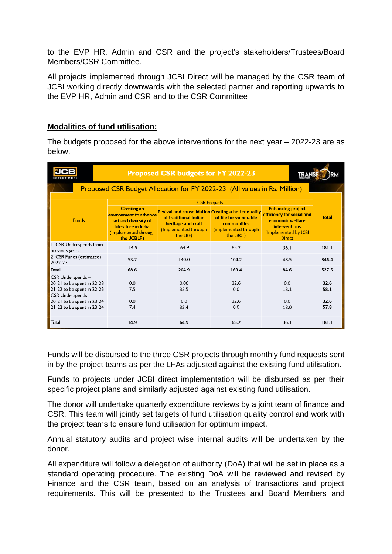to the EVP HR, Admin and CSR and the project's stakeholders/Trustees/Board Members/CSR Committee.

All projects implemented through JCBI Direct will be managed by the CSR team of JCBI working directly downwards with the selected partner and reporting upwards to the EVP HR, Admin and CSR and to the CSR Committee

### **Modalities of fund utilisation:**

The budgets proposed for the above interventions for the next year – 2022-23 are as below.

| <b>EXPECT MORE</b>                                                                 | <b>Proposed CSR budgets for FY 2022-23</b>                                                                                        |                                                                                                                                               |                                                                                   |                                                                                                                                            |              |  |  |  |  |  |  |
|------------------------------------------------------------------------------------|-----------------------------------------------------------------------------------------------------------------------------------|-----------------------------------------------------------------------------------------------------------------------------------------------|-----------------------------------------------------------------------------------|--------------------------------------------------------------------------------------------------------------------------------------------|--------------|--|--|--|--|--|--|
| Proposed CSR Budget Allocation for FY 2022-23 (All values in Rs. Million)          |                                                                                                                                   |                                                                                                                                               |                                                                                   |                                                                                                                                            |              |  |  |  |  |  |  |
|                                                                                    | <b>CSR Projects</b>                                                                                                               |                                                                                                                                               |                                                                                   |                                                                                                                                            |              |  |  |  |  |  |  |
| <b>Funds</b>                                                                       | <b>Creating an</b><br>environment to advance<br>art and diversity of<br>literature in India<br>(Implemented through<br>the JCBLF) | <b>Revival and consolidation Creating a better quality</b><br>of traditional Indian<br>heritage and craft<br>(Implemented through<br>the LBF) | of life for vulnerable<br><b>communities</b><br>(implemented through<br>the LBCT) | <b>Enhancing project</b><br>efficiency for social and<br>economic welfare<br><b>interventions</b><br>(Implemented by JCBI<br><b>Direct</b> | <b>Total</b> |  |  |  |  |  |  |
| I. CSR Underspends from<br>previous years                                          | 14.9                                                                                                                              | 64.9                                                                                                                                          | 65.2                                                                              | 36.1                                                                                                                                       | 181.1        |  |  |  |  |  |  |
| 2. CSR Funds (estimated)<br>2022-23                                                | 53.7                                                                                                                              | 140.0                                                                                                                                         | 104.2                                                                             | 48.5                                                                                                                                       | 346.4        |  |  |  |  |  |  |
| Total                                                                              | 68.6                                                                                                                              | 204.9                                                                                                                                         | 169.4                                                                             | 84.6                                                                                                                                       | 527.5        |  |  |  |  |  |  |
| CSR Underspends-<br>20-21 to be spent in 22-23<br>21-22 to be spent in 22-23       | 0.0<br>7.5                                                                                                                        | 0.00<br>32.5                                                                                                                                  | 32.6<br>0.0                                                                       | 0.0<br>18.1                                                                                                                                | 32.6<br>58.1 |  |  |  |  |  |  |
| <b>CSR Underspends</b><br>20-21 to be spent in 23-24<br>21-22 to be spent in 23-24 | 0.0<br>7.4                                                                                                                        | 0.0<br>32.4                                                                                                                                   | 32.6<br>0.0                                                                       | 0.0<br>18.0                                                                                                                                | 32.6<br>57.8 |  |  |  |  |  |  |
| Total                                                                              | 14.9                                                                                                                              | 64.9                                                                                                                                          | 65.2                                                                              | 36.1                                                                                                                                       | 181.1        |  |  |  |  |  |  |

Funds will be disbursed to the three CSR projects through monthly fund requests sent in by the project teams as per the LFAs adjusted against the existing fund utilisation.

Funds to projects under JCBI direct implementation will be disbursed as per their specific project plans and similarly adjusted against existing fund utilisation.

The donor will undertake quarterly expenditure reviews by a joint team of finance and CSR. This team will jointly set targets of fund utilisation quality control and work with the project teams to ensure fund utilisation for optimum impact.

Annual statutory audits and project wise internal audits will be undertaken by the donor.

All expenditure will follow a delegation of authority (DoA) that will be set in place as a standard operating procedure. The existing DoA will be reviewed and revised by Finance and the CSR team, based on an analysis of transactions and project requirements. This will be presented to the Trustees and Board Members and